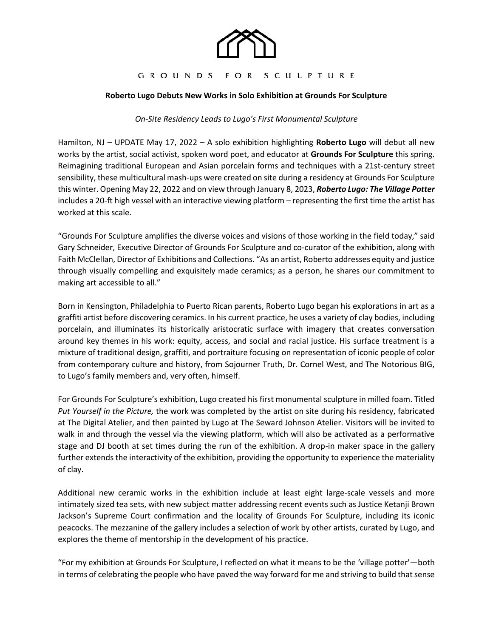

# GROUNDS FOR SCULPTURE

# **Roberto Lugo Debuts New Works in Solo Exhibition at Grounds For Sculpture**

### *On-Site Residency Leads to Lugo's First Monumental Sculpture*

Hamilton, NJ – UPDATE May 17, 2022 – A solo exhibition highlighting **Roberto Lugo** will debut all new works by the artist, social activist, spoken word poet, and educator at **Grounds For Sculpture** this spring. Reimagining traditional European and Asian porcelain forms and techniques with a 21st-century street sensibility, these multicultural mash-ups were created on site during a residency at Grounds For Sculpture this winter. Opening May 22, 2022 and on view through January 8, 2023, *Roberto Lugo: The Village Potter* includes a 20-ft high vessel with an interactive viewing platform – representing the first time the artist has worked at this scale.

"Grounds For Sculpture amplifies the diverse voices and visions of those working in the field today," said Gary Schneider, Executive Director of Grounds For Sculpture and co-curator of the exhibition, along with Faith McClellan, Director of Exhibitions and Collections. "As an artist, Roberto addresses equity and justice through visually compelling and exquisitely made ceramics; as a person, he shares our commitment to making art accessible to all."

Born in Kensington, Philadelphia to Puerto Rican parents, Roberto Lugo began his explorations in art as a graffiti artist before discovering ceramics. In his current practice, he uses a variety of clay bodies, including porcelain, and illuminates its historically aristocratic surface with imagery that creates conversation around key themes in his work: equity, access, and social and racial justice. His surface treatment is a mixture of traditional design, graffiti, and portraiture focusing on representation of iconic people of color from contemporary culture and history, from Sojourner Truth, Dr. Cornel West, and The Notorious BIG, to Lugo's family members and, very often, himself.

For Grounds For Sculpture's exhibition, Lugo created his first monumental sculpture in milled foam. Titled *Put Yourself in the Picture,* the work was completed by the artist on site during his residency, fabricated at The Digital Atelier, and then painted by Lugo at The Seward Johnson Atelier. Visitors will be invited to walk in and through the vessel via the viewing platform, which will also be activated as a performative stage and DJ booth at set times during the run of the exhibition. A drop-in maker space in the gallery further extends the interactivity of the exhibition, providing the opportunity to experience the materiality of clay.

Additional new ceramic works in the exhibition include at least eight large-scale vessels and more intimately sized tea sets, with new subject matter addressing recent events such as Justice Ketanji Brown Jackson's Supreme Court confirmation and the locality of Grounds For Sculpture, including its iconic peacocks. The mezzanine of the gallery includes a selection of work by other artists, curated by Lugo, and explores the theme of mentorship in the development of his practice.

"For my exhibition at Grounds For Sculpture, I reflected on what it means to be the 'village potter'—both in terms of celebrating the people who have paved the way forward for me and striving to build that sense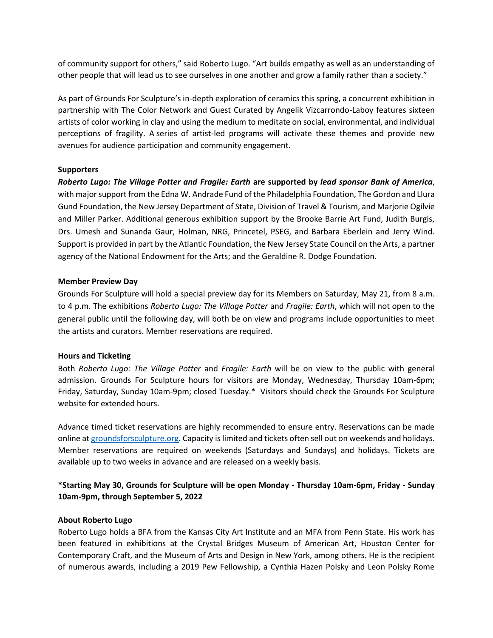of community support for others," said Roberto Lugo. "Art builds empathy as well as an understanding of other people that will lead us to see ourselves in one another and grow a family rather than a society."

As part of Grounds For Sculpture's in-depth exploration of ceramics this spring, a concurrent exhibition in partnership with The Color Network and Guest Curated by Angelik Vizcarrondo-Laboy features sixteen artists of color working in clay and using the medium to meditate on social, environmental, and individual perceptions of fragility. A series of artist-led programs will activate these themes and provide new avenues for audience participation and community engagement.

# **Supporters**

*Roberto Lugo: The Village Potter and Fragile: Earth* **are supported by** *lead sponsor Bank of America*, with major support from the Edna W. Andrade Fund of the Philadelphia Foundation, The Gordon and Llura Gund Foundation, the New Jersey Department of State, Division of Travel & Tourism, and Marjorie Ogilvie and Miller Parker. Additional generous exhibition support by the Brooke Barrie Art Fund, Judith Burgis, Drs. Umesh and Sunanda Gaur, Holman, NRG, Princetel, PSEG, and Barbara Eberlein and Jerry Wind. Support is provided in part by the Atlantic Foundation, the New Jersey State Council on the Arts, a partner agency of the National Endowment for the Arts; and the Geraldine R. Dodge Foundation.

# **Member Preview Day**

Grounds For Sculpture will hold a special preview day for its Members on Saturday, May 21, from 8 a.m. to 4 p.m. The exhibitions *Roberto Lugo: The Village Potter* and *Fragile: Earth*, which will not open to the general public until the following day, will both be on view and programs include opportunities to meet the artists and curators. Member reservations are required.

# **Hours and Ticketing**

Both *Roberto Lugo: The Village Potter* and *Fragile: Earth* will be on view to the public with general admission. Grounds For Sculpture hours for visitors are Monday, Wednesday, Thursday 10am-6pm; Friday, Saturday, Sunday 10am-9pm; closed Tuesday.\* Visitors should check the Grounds For Sculpture website for extended hours.

Advance timed ticket reservations are highly recommended to ensure entry. Reservations can be made online a[t groundsforsculpture.org.](https://www.groundsforsculpture.org/timed-admission-tickets/) Capacity is limited and tickets often sell out on weekends and holidays. Member reservations are required on weekends (Saturdays and Sundays) and holidays. Tickets are available up to two weeks in advance and are released on a weekly basis.

# **\*Starting May 30, Grounds for Sculpture will be open Monday - Thursday 10am-6pm, Friday - Sunday 10am-9pm, through September 5, 2022**

### **About Roberto Lugo**

Roberto Lugo holds a BFA from the Kansas City Art Institute and an MFA from Penn State. His work has been featured in exhibitions at the Crystal Bridges Museum of American Art, Houston Center for Contemporary Craft, and the Museum of Arts and Design in New York, among others. He is the recipient of numerous awards, including a 2019 Pew Fellowship, a Cynthia Hazen Polsky and Leon Polsky Rome